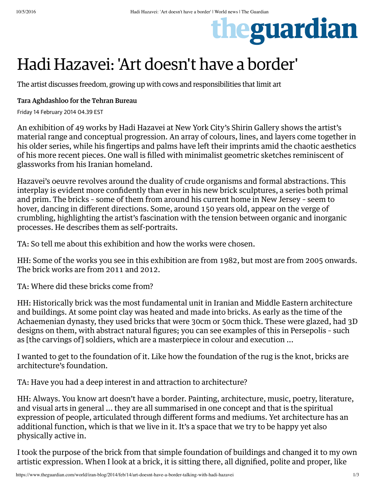# theguardian

## Hadi Hazavei: 'Art doesn't have a border'

The artist discusses freedom, growing up with cows and responsibilities that limit art

#### Tara Aghdashloo for the Tehran Bureau

Friday 14 February 2014 04.39 EST

An exhibition of 49 works by Hadi Hazavei at New York City's Shirin Gallery shows the artist's material range and conceptual progression. An array of colours, lines, and layers come together in his older series, while his fingertips and palms have left their imprints amid the chaotic aesthetics of his more recent pieces. One wall is filled with minimalist geometric sketches reminiscent of glassworks from his Iranian homeland.

Hazavei's oeuvre revolves around the duality of crude organisms and formal abstractions. This interplay is evident more confidently than ever in his new brick sculptures, a series both primal and prim. The bricks – some of them from around his current home in New Jersey – seem to hover, dancing in different directions. Some, around 150 years old, appear on the verge of crumbling, highlighting the artist's fascination with the tension between organic and inorganic processes. He describes them as self-portraits.

TA: So tell me about this exhibition and how the works were chosen.

HH: Some of the works you see in this exhibition are from 1982, but most are from 2005 onwards. The brick works are from 2011 and 2012.

TA: Where did these bricks come from?

HH: Historically brick was the most fundamental unit in Iranian and Middle Eastern architecture and buildings. At some point clay was heated and made into bricks. As early as the time of the Achaemenian dynasty, they used bricks that were 30cm or 50cm thick. These were glazed, had 3D designs on them, with abstract natural figures; you can see examples of this in Persepolis – such as [the carvings of] soldiers, which are a masterpiece in colour and execution ...

I wanted to get to the foundation of it. Like how the foundation of the rug is the knot, bricks are architecture's foundation.

TA: Have you had a deep interest in and attraction to architecture?

HH: Always. You know art doesn't have a border. Painting, architecture, music, poetry, literature, and visual arts in general ... they are all summarised in one concept and that is the spiritual expression of people, articulated through different forms and mediums. Yet architecture has an additional function, which is that we live in it. It's a space that we try to be happy yet also physically active in.

I took the purpose of the brick from that simple foundation of buildings and changed it to my own artistic expression. When I look at a brick, it is sitting there, all dignified, polite and proper, like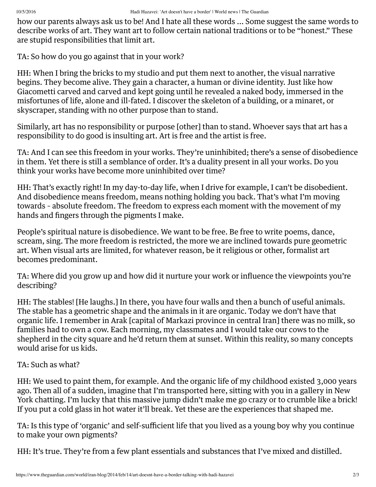how our parents always ask us to be! And I hate all these words ... Some suggest the same words to describe works of art. They want art to follow certain national traditions or to be "honest." These are stupid responsibilities that limit art.

TA: So how do you go against that in your work?

HH: When I bring the bricks to my studio and put them next to another, the visual narrative begins. They become alive. They gain a character, a human or divine identity. Just like how Giacometti carved and carved and kept going until he revealed a naked body, immersed in the misfortunes of life, alone and ill-fated. I discover the skeleton of a building, or a minaret, or skyscraper, standing with no other purpose than to stand.

Similarly, art has no responsibility or purpose [other] than to stand. Whoever says that art has a responsibility to do good is insulting art. Art is free and the artist is free.

TA: And I can see this freedom in your works. They're uninhibited; there's a sense of disobedience in them. Yet there is still a semblance of order. It's a duality present in all your works. Do you think your works have become more uninhibited over time?

HH: That's exactly right! In my day-to-day life, when I drive for example, I can't be disobedient. And disobedience means freedom, means nothing holding you back. That's what I'm moving towards – absolute freedom. The freedom to express each moment with the movement of my hands and fingers through the pigments I make.

People's spiritual nature is disobedience. We want to be free. Be free to write poems, dance, scream, sing. The more freedom is restricted, the more we are inclined towards pure geometric art. When visual arts are limited, for whatever reason, be it religious or other, formalist art becomes predominant.

TA: Where did you grow up and how did it nurture your work or influence the viewpoints you're describing?

HH: The stables! [He laughs.] In there, you have four walls and then a bunch of useful animals. The stable has a geometric shape and the animals in it are organic. Today we don't have that organic life. I remember in Arak [capital of Markazi province in central Iran] there was no milk, so families had to own a cow. Each morning, my classmates and I would take our cows to the shepherd in the city square and he'd return them at sunset. Within this reality, so many concepts would arise for us kids.

#### TA: Such as what?

HH: We used to paint them, for example. And the organic life of my childhood existed 3,000 years ago. Then all of a sudden, imagine that I'm transported here, sitting with you in a gallery in New York chatting. I'm lucky that this massive jump didn't make me go crazy or to crumble like a brick! If you put a cold glass in hot water it'll break. Yet these are the experiences that shaped me.

TA: Is this type of 'organic' and self-sufficient life that you lived as a young boy why you continue to make your own pigments?

HH: It's true. They're from a few plant essentials and substances that I've mixed and distilled.